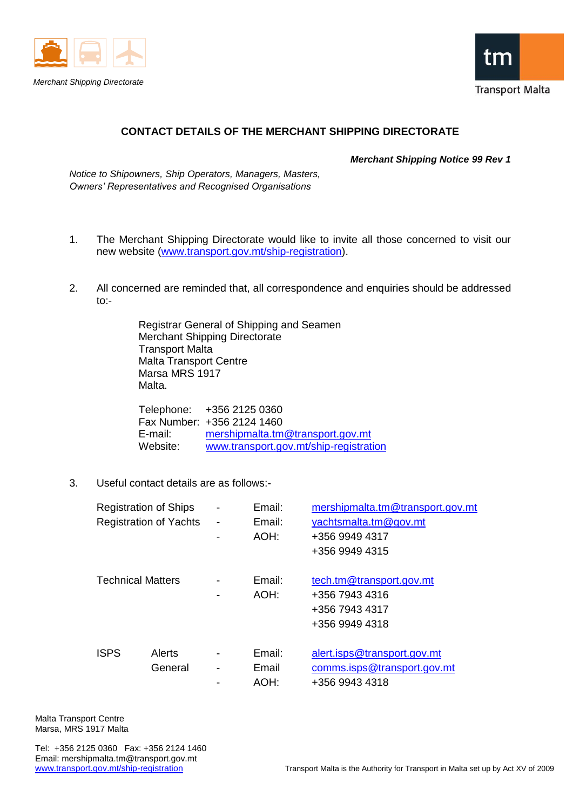



## **CONTACT DETAILS OF THE MERCHANT SHIPPING DIRECTORATE**

*Merchant Shipping Notice 99 Rev 1*

*Notice to Shipowners, Ship Operators, Managers, Masters, Owners' Representatives and Recognised Organisations*

- 1. The Merchant Shipping Directorate would like to invite all those concerned to visit our new website [\(www.transport.gov.mt/ship-registration\)](http://www.transport.gov.mt/ship-registration).
- 2. All concerned are reminded that, all correspondence and enquiries should be addressed to:-

Registrar General of Shipping and Seamen Merchant Shipping Directorate Transport Malta Malta Transport Centre Marsa MRS 1917 Malta.

Telephone: +356 2125 0360 Fax Number: +356 2124 1460 E-mail: [mershipmalta.tm@transport.gov.mt](mailto:mershipmalta.tm@transport.gov.mt) Website: [www.transport.gov.mt/ship-registration](http://www.transport.gov.mt/ship-registration)

3. Useful contact details are as follows:-

| <b>Registration of Ships</b>  |         |   | Email: | mershipmalta.tm@transport.gov.mt |
|-------------------------------|---------|---|--------|----------------------------------|
| <b>Registration of Yachts</b> |         |   | Email: | yachtsmalta.tm@gov.mt            |
|                               |         | - | AOH:   | +356 9949 4317                   |
|                               |         |   |        | +356 9949 4315                   |
|                               |         |   |        |                                  |
| <b>Technical Matters</b>      |         |   | Email: | tech.tm@transport.gov.mt         |
|                               |         |   | AOH:   | +356 7943 4316                   |
|                               |         |   |        | +356 7943 4317                   |
|                               |         |   |        | +356 9949 4318                   |
|                               |         |   |        |                                  |
| <b>ISPS</b>                   | Alerts  |   | Email: | alert.isps@transport.gov.mt      |
|                               | General |   | Email  | comms.isps@transport.gov.mt      |
|                               |         |   | AOH:   | +356 9943 4318                   |

Malta Transport Centre Marsa, MRS 1917 Malta